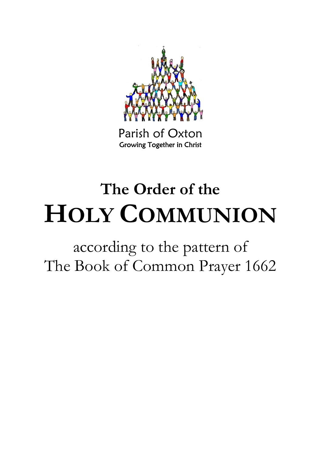

Parish of Oxton Growing Together in Christ

# **The Order of the HOLY COMMUNION**

according to the pattern of The Book of Common Prayer 1662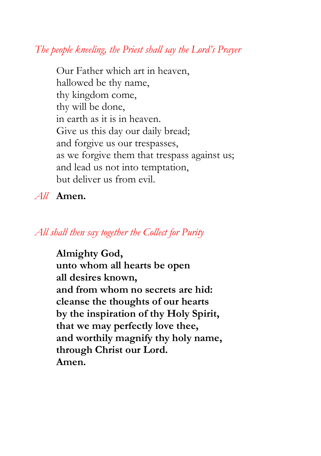# *The people kneeling, the Priest shall say the Lord's Prayer*

Our Father which art in heaven, hallowed be thy name, thy kingdom come, thy will be done, in earth as it is in heaven. Give us this day our daily bread; and forgive us our trespasses, as we forgive them that trespass against us; and lead us not into temptation, but deliver us from evil.

*All* **Amen.**

# *All shall then say together the Collect for Purity*

**Almighty God, unto whom all hearts be open all desires known, and from whom no secrets are hid: cleanse the thoughts of our hearts by the inspiration of thy Holy Spirit, that we may perfectly love thee, and worthily magnify thy holy name, through Christ our Lord. Amen.**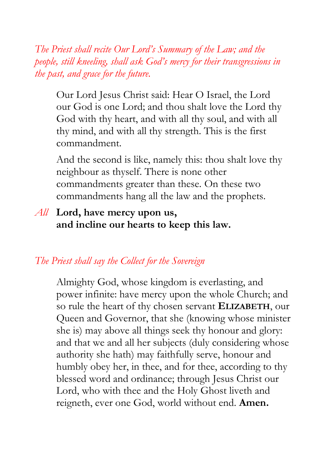*The Priest shall recite Our Lord's Summary of the Law; and the people, still kneeling, shall ask God's mercy for their transgressions in the past, and grace for the future.*

Our Lord Jesus Christ said: Hear O Israel, the Lord our God is one Lord; and thou shalt love the Lord thy God with thy heart, and with all thy soul, and with all thy mind, and with all thy strength. This is the first commandment.

And the second is like, namely this: thou shalt love thy neighbour as thyself. There is none other commandments greater than these. On these two commandments hang all the law and the prophets.

# *All* **Lord, have mercy upon us, and incline our hearts to keep this law.**

# *The Priest shall say the Collect for the Sovereign*

Almighty God, whose kingdom is everlasting, and power infinite: have mercy upon the whole Church; and so rule the heart of thy chosen servant **ELIZABETH**, our Queen and Governor, that she (knowing whose minister she is) may above all things seek thy honour and glory: and that we and all her subjects (duly considering whose authority she hath) may faithfully serve, honour and humbly obey her, in thee, and for thee, according to thy blessed word and ordinance; through Jesus Christ our Lord, who with thee and the Holy Ghost liveth and reigneth, ever one God, world without end. **Amen.**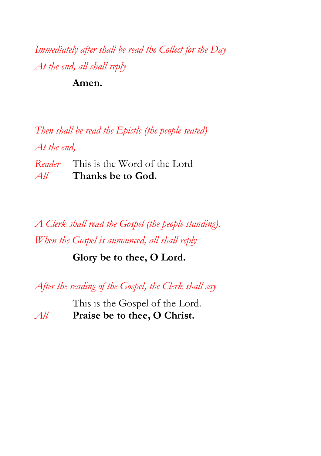*Immediately after shall be read the Collect for the Day At the end, all shall reply*

**Amen.**

*Then shall be read the Epistle (the people seated) At the end, Reader* This is the Word of the Lord *All* **Thanks be to God.**

*A Clerk shall read the Gospel (the people standing). When the Gospel is announced, all shall reply*

**Glory be to thee, O Lord.**

*After the reading of the Gospel, the Clerk shall say*

This is the Gospel of the Lord. *All* **Praise be to thee, O Christ.**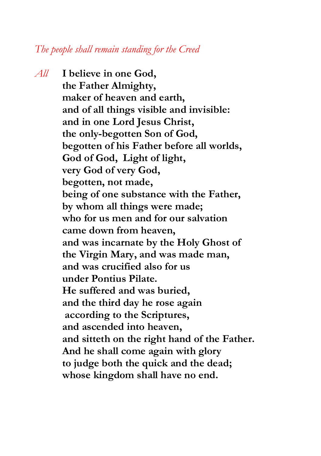## *The people shall remain standing for the Creed*

*All* **I believe in one God, the Father Almighty, maker of heaven and earth, and of all things visible and invisible: and in one Lord Jesus Christ, the only-begotten Son of God, begotten of his Father before all worlds, God of God, Light of light, very God of very God, begotten, not made, being of one substance with the Father, by whom all things were made; who for us men and for our salvation came down from heaven, and was incarnate by the Holy Ghost of the Virgin Mary, and was made man, and was crucified also for us under Pontius Pilate. He suffered and was buried, and the third day he rose again according to the Scriptures, and ascended into heaven, and sitteth on the right hand of the Father. And he shall come again with glory to judge both the quick and the dead; whose kingdom shall have no end.**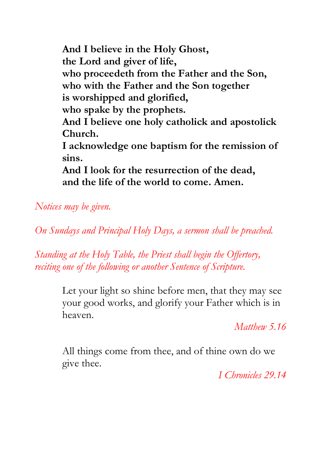**And I believe in the Holy Ghost, the Lord and giver of life, who proceedeth from the Father and the Son, who with the Father and the Son together is worshipped and glorified, who spake by the prophets. And I believe one holy catholick and apostolick Church. I acknowledge one baptism for the remission of sins. And I look for the resurrection of the dead, and the life of the world to come. Amen.**

*Notices may be given.*

*On Sundays and Principal Holy Days, a sermon shall be preached.* 

*Standing at the Holy Table, the Priest shall begin the Offertory, reciting one of the following or another Sentence of Scripture.* 

> Let your light so shine before men, that they may see your good works, and glorify your Father which is in heaven.

> > *Matthew 5.16*

All things come from thee, and of thine own do we give thee.

*I Chronicles 29.14*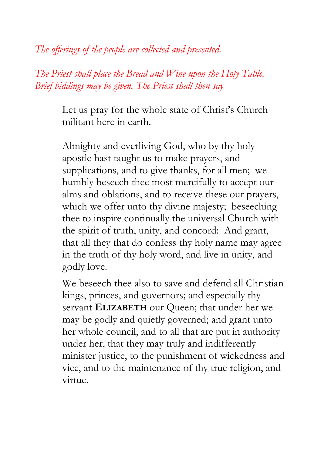*The offerings of the people are collected and presented.*

*The Priest shall place the Bread and Wine upon the Holy Table. Brief biddings may be given. The Priest shall then say*

> Let us pray for the whole state of Christ's Church militant here in earth.

Almighty and everliving God, who by thy holy apostle hast taught us to make prayers, and supplications, and to give thanks, for all men; we humbly beseech thee most mercifully to accept our alms and oblations, and to receive these our prayers, which we offer unto thy divine majesty; beseeching thee to inspire continually the universal Church with the spirit of truth, unity, and concord: And grant, that all they that do confess thy holy name may agree in the truth of thy holy word, and live in unity, and godly love.

We beseech thee also to save and defend all Christian kings, princes, and governors; and especially thy servant **ELIZABETH** our Queen; that under her we may be godly and quietly governed; and grant unto her whole council, and to all that are put in authority under her, that they may truly and indifferently minister justice, to the punishment of wickedness and vice, and to the maintenance of thy true religion, and virtue.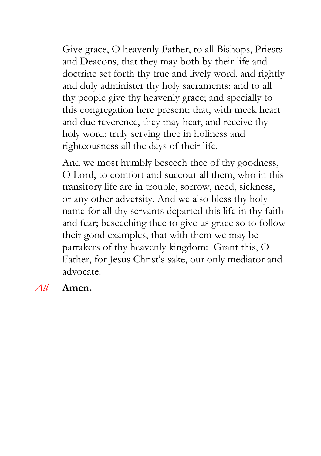Give grace, O heavenly Father, to all Bishops, Priests and Deacons, that they may both by their life and doctrine set forth thy true and lively word, and rightly and duly administer thy holy sacraments: and to all thy people give thy heavenly grace; and specially to this congregation here present; that, with meek heart and due reverence, they may hear, and receive thy holy word; truly serving thee in holiness and righteousness all the days of their life.

And we most humbly beseech thee of thy goodness, O Lord, to comfort and succour all them, who in this transitory life are in trouble, sorrow, need, sickness, or any other adversity. And we also bless thy holy name for all thy servants departed this life in thy faith and fear; beseeching thee to give us grace so to follow their good examples, that with them we may be partakers of thy heavenly kingdom: Grant this, O Father, for Jesus Christ's sake, our only mediator and advocate.

## *All* **Amen.**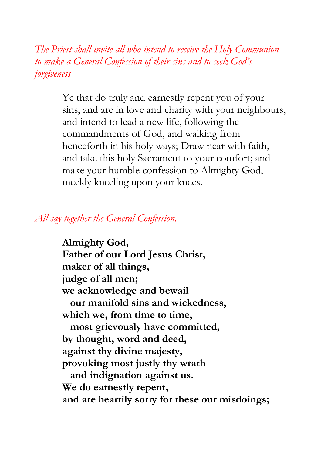*The Priest shall invite all who intend to receive the Holy Communion to make a General Confession of their sins and to seek God's forgiveness*

> Ye that do truly and earnestly repent you of your sins, and are in love and charity with your neighbours, and intend to lead a new life, following the commandments of God, and walking from henceforth in his holy ways; Draw near with faith, and take this holy Sacrament to your comfort; and make your humble confession to Almighty God, meekly kneeling upon your knees.

## *All say together the General Confession.*

**Almighty God, Father of our Lord Jesus Christ, maker of all things, judge of all men; we acknowledge and bewail our manifold sins and wickedness, which we, from time to time, most grievously have committed, by thought, word and deed, against thy divine majesty, provoking most justly thy wrath and indignation against us. We do earnestly repent, and are heartily sorry for these our misdoings;**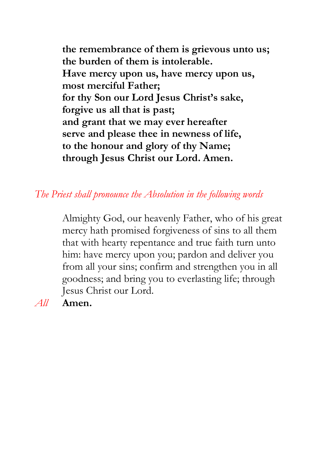**the remembrance of them is grievous unto us; the burden of them is intolerable. Have mercy upon us, have mercy upon us, most merciful Father; for thy Son our Lord Jesus Christ's sake, forgive us all that is past; and grant that we may ever hereafter serve and please thee in newness of life, to the honour and glory of thy Name; through Jesus Christ our Lord. Amen.**

## *The Priest shall pronounce the Absolution in the following words*

Almighty God, our heavenly Father, who of his great mercy hath promised forgiveness of sins to all them that with hearty repentance and true faith turn unto him: have mercy upon you; pardon and deliver you from all your sins; confirm and strengthen you in all goodness; and bring you to everlasting life; through Jesus Christ our Lord.

*All* **Amen.**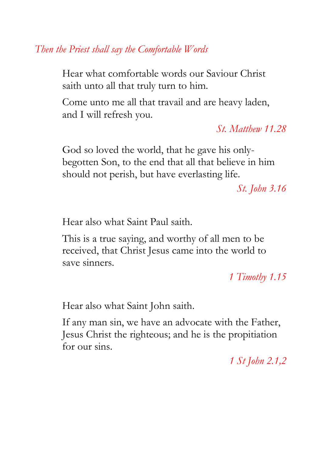*Then the Priest shall say the Comfortable Words*

Hear what comfortable words our Saviour Christ saith unto all that truly turn to him.

Come unto me all that travail and are heavy laden, and I will refresh you.

*St. Matthew 11.28*

God so loved the world, that he gave his onlybegotten Son, to the end that all that believe in him should not perish, but have everlasting life.

*St. John 3.16*

Hear also what Saint Paul saith.

This is a true saying, and worthy of all men to be received, that Christ Jesus came into the world to save sinners.

*1 Timothy 1.15*

Hear also what Saint John saith.

If any man sin, we have an advocate with the Father, Jesus Christ the righteous; and he is the propitiation for our sins.

*1 St John 2.1,2*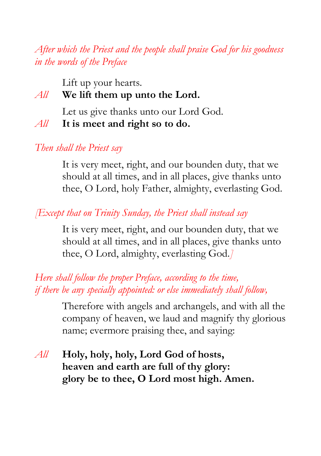*After which the Priest and the people shall praise God for his goodness in the words of the Preface*

Lift up your hearts.

# *All* **We lift them up unto the Lord.**

Let us give thanks unto our Lord God.

*All* **It is meet and right so to do.**

*Then shall the Priest say*

It is very meet, right, and our bounden duty, that we should at all times, and in all places, give thanks unto thee, O Lord, holy Father, almighty, everlasting God.

*[Except that on Trinity Sunday, the Priest shall instead say*

It is very meet, right, and our bounden duty, that we should at all times, and in all places, give thanks unto thee, O Lord, almighty, everlasting God.*]*

# *Here shall follow the proper Preface, according to the time, if there be any specially appointed: or else immediately shall follow,*

Therefore with angels and archangels, and with all the company of heaven, we laud and magnify thy glorious name; evermore praising thee, and saying:

*All* **Holy, holy, holy, Lord God of hosts, heaven and earth are full of thy glory: glory be to thee, O Lord most high. Amen.**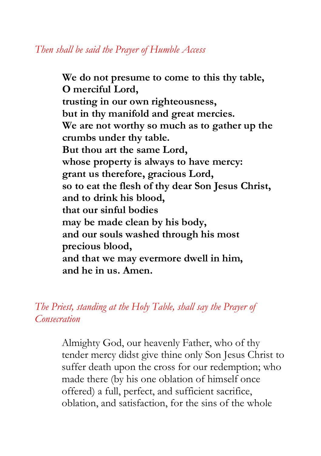**We do not presume to come to this thy table, O merciful Lord, trusting in our own righteousness, but in thy manifold and great mercies. We are not worthy so much as to gather up the crumbs under thy table. But thou art the same Lord, whose property is always to have mercy: grant us therefore, gracious Lord, so to eat the flesh of thy dear Son Jesus Christ, and to drink his blood, that our sinful bodies may be made clean by his body, and our souls washed through his most precious blood, and that we may evermore dwell in him, and he in us. Amen.**

*The Priest, standing at the Holy Table, shall say the Prayer of Consecration*

> Almighty God, our heavenly Father, who of thy tender mercy didst give thine only Son Jesus Christ to suffer death upon the cross for our redemption; who made there (by his one oblation of himself once offered) a full, perfect, and sufficient sacrifice, oblation, and satisfaction, for the sins of the whole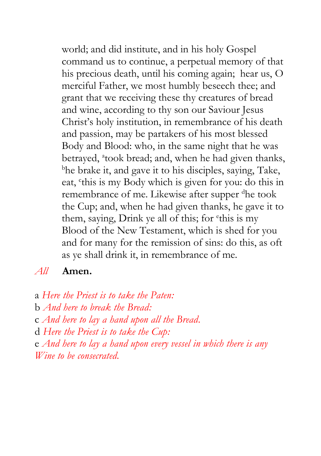world; and did institute, and in his holy Gospel command us to continue, a perpetual memory of that his precious death, until his coming again; hear us, O merciful Father, we most humbly beseech thee; and grant that we receiving these thy creatures of bread and wine, according to thy son our Saviour Jesus Christ's holy institution, in remembrance of his death and passion, may be partakers of his most blessed Body and Blood: who, in the same night that he was betrayed, <sup>a</sup>took bread; and, when he had given thanks, <sup>b</sup>he brake it, and gave it to his disciples, saying, Take, eat, 'this is my Body which is given for you: do this in remembrance of me. Likewise after supper dhe took the Cup; and, when he had given thanks, he gave it to them, saying, Drink ye all of this; for <sup>e</sup>this is my Blood of the New Testament, which is shed for you and for many for the remission of sins: do this, as oft as ye shall drink it, in remembrance of me.

## *All* **Amen.**

a *Here the Priest is to take the Paten:* b *And here to break the Bread:* c *And here to lay a hand upon all the Bread.* d *Here the Priest is to take the Cup:* e *And here to lay a hand upon every vessel in which there is any Wine to be consecrated.*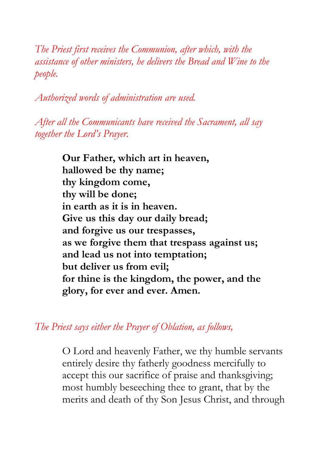*The Priest first receives the Communion, after which, with the assistance of other ministers, he delivers the Bread and Wine to the people.*

*Authorized words of administration are used.* 

*After all the Communicants have received the Sacrament, all say together the Lord's Prayer.*

> **Our Father, which art in heaven, hallowed be thy name; thy kingdom come, thy will be done; in earth as it is in heaven. Give us this day our daily bread; and forgive us our trespasses, as we forgive them that trespass against us; and lead us not into temptation; but deliver us from evil; for thine is the kingdom, the power, and the glory, for ever and ever. Amen.**

*The Priest says either the Prayer of Oblation, as follows,*

O Lord and heavenly Father, we thy humble servants entirely desire thy fatherly goodness mercifully to accept this our sacrifice of praise and thanksgiving; most humbly beseeching thee to grant, that by the merits and death of thy Son Jesus Christ, and through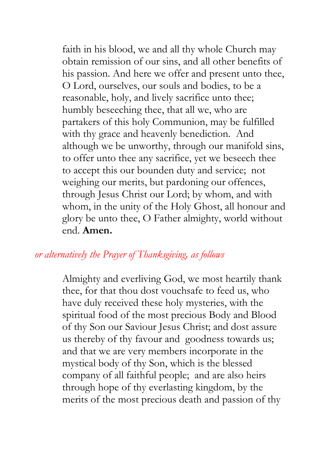faith in his blood, we and all thy whole Church may obtain remission of our sins, and all other benefits of his passion. And here we offer and present unto thee, O Lord, ourselves, our souls and bodies, to be a reasonable, holy, and lively sacrifice unto thee; humbly beseeching thee, that all we, who are partakers of this holy Communion, may be fulfilled with thy grace and heavenly benediction. And although we be unworthy, through our manifold sins, to offer unto thee any sacrifice, yet we beseech thee to accept this our bounden duty and service; not weighing our merits, but pardoning our offences, through Jesus Christ our Lord; by whom, and with whom, in the unity of the Holy Ghost, all honour and glory be unto thee, O Father almighty, world without end. **Amen.**

# *or alternatively the Prayer of Thanksgiving, as follows*

Almighty and everliving God, we most heartily thank thee, for that thou dost vouchsafe to feed us, who have duly received these holy mysteries, with the spiritual food of the most precious Body and Blood of thy Son our Saviour Jesus Christ; and dost assure us thereby of thy favour and goodness towards us; and that we are very members incorporate in the mystical body of thy Son, which is the blessed company of all faithful people; and are also heirs through hope of thy everlasting kingdom, by the merits of the most precious death and passion of thy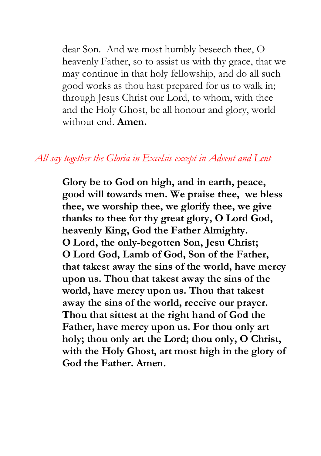dear Son. And we most humbly beseech thee, O heavenly Father, so to assist us with thy grace, that we may continue in that holy fellowship, and do all such good works as thou hast prepared for us to walk in; through Jesus Christ our Lord, to whom, with thee and the Holy Ghost, be all honour and glory, world without end. **Amen.**

## *All say together the Gloria in Excelsis except in Advent and Lent*

**Glory be to God on high, and in earth, peace, good will towards men. We praise thee, we bless thee, we worship thee, we glorify thee, we give thanks to thee for thy great glory, O Lord God, heavenly King, God the Father Almighty. O Lord, the only-begotten Son, Jesu Christ; O Lord God, Lamb of God, Son of the Father, that takest away the sins of the world, have mercy upon us. Thou that takest away the sins of the world, have mercy upon us. Thou that takest away the sins of the world, receive our prayer. Thou that sittest at the right hand of God the Father, have mercy upon us. For thou only art holy; thou only art the Lord; thou only, O Christ, with the Holy Ghost, art most high in the glory of God the Father. Amen.**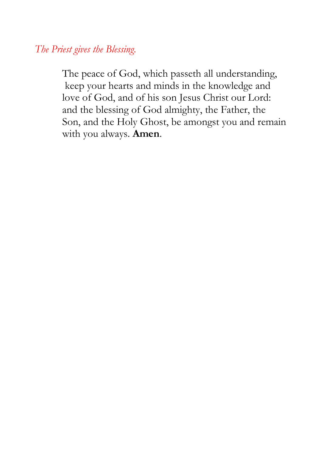*The Priest gives the Blessing.*

The peace of God, which passeth all understanding, keep your hearts and minds in the knowledge and love of God, and of his son Jesus Christ our Lord: and the blessing of God almighty, the Father, the Son, and the Holy Ghost, be amongst you and remain with you always. **Amen**.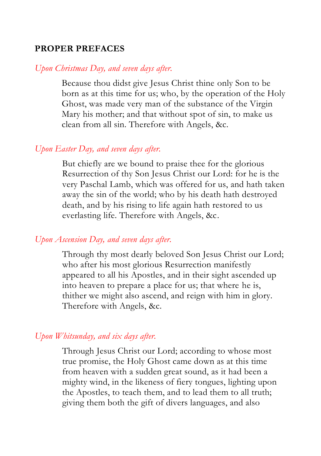### **PROPER PREFACES**

#### *Upon Christmas Day, and seven days after.*

Because thou didst give Jesus Christ thine only Son to be born as at this time for us; who, by the operation of the Holy Ghost, was made very man of the substance of the Virgin Mary his mother; and that without spot of sin, to make us clean from all sin. Therefore with Angels, &c.

### *Upon Easter Day, and seven days after.*

But chiefly are we bound to praise thee for the glorious Resurrection of thy Son Jesus Christ our Lord: for he is the very Paschal Lamb, which was offered for us, and hath taken away the sin of the world; who by his death hath destroyed death, and by his rising to life again hath restored to us everlasting life. Therefore with Angels, &c.

#### *Upon Ascension Day, and seven days after.*

Through thy most dearly beloved Son Jesus Christ our Lord; who after his most glorious Resurrection manifestly appeared to all his Apostles, and in their sight ascended up into heaven to prepare a place for us; that where he is, thither we might also ascend, and reign with him in glory. Therefore with Angels, &c.

### *Upon Whitsunday, and six days after.*

Through Jesus Christ our Lord; according to whose most true promise, the Holy Ghost came down as at this time from heaven with a sudden great sound, as it had been a mighty wind, in the likeness of fiery tongues, lighting upon the Apostles, to teach them, and to lead them to all truth; giving them both the gift of divers languages, and also